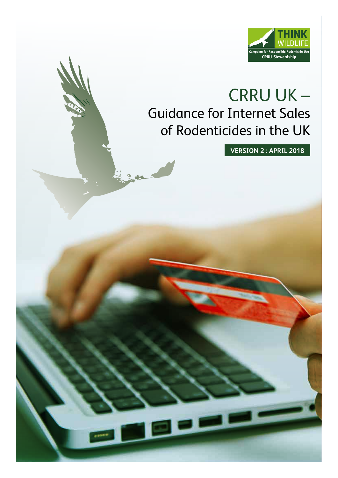

## CRRU UK – Guidance for Internet Sales of Rodenticides in the UK

**VERSION 2 : APRIL 2018**